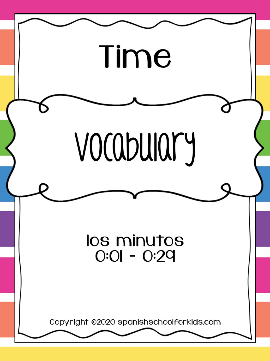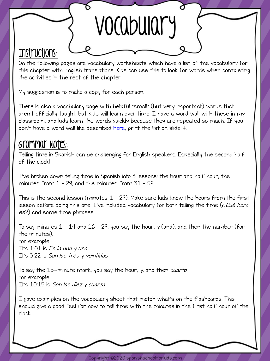## Instructions:

On the following pages are vocabulary worksheets which have a list of the vocabulary for this chapter with English translations. Kids can use this to look for words when completing the activities in the rest of the chapter.

VOCabulary

My suggestion is to make a copy for each person.

There is also a vocabulary page with helpful "small" (but very important) words that aren't officially taught, but kids will learn over time. I have a word wall with these in my classroom, and kids learn the words quickly because they are repeated so much. If you don't have a word wall like described <u>here</u>, print the list on slide 4.

## Grammar Notes:

Telling time in Spanish can be challenging for English speakers. Especially the second half of the clock!

I've broken down telling time in Spanish into 3 lessons: the hour and half hour, the minutes from 1 – 29, and the minutes from 31 – 59.

This is the second lesson (minutes 1 – 29). Make sure kids know the hours from the first lesson before doing this one. I've included vocabulary for both telling the time (*¿Qué hora* es?) and some time phrases.

To say minutes  $1 - 14$  and  $16 - 29$ , you say the hour, y (and), and then the number (for the minutes). For example: It's  $1:01$  is Es la una y uno. It's 3:22 is Son las tres y veintidós.

To say the 15-minute mark, you say the hour, y, and then cuarto. For example: It's 10:15 is Son las diez y cuarto.

I gave examples on the vocabulary sheet that match what's on the flashcards. This should give a good feel for how to tell time with the minutes in the first half hour of the clock.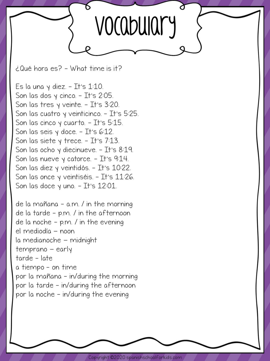

¿Qué hora es? - What time is it?

Es la una y diez.  $-$  It's 1:10. Son las dos y cinco.  $-$  It's 2:05. Son las tres y veinte. - It's 3:20. Son las cuatro y veinticinco. - It's 5:25. Son las cinco y cuarto.  $-$  It's 5:15. Son las seis  $y$  doce. - It's 6:12. Son las siete y trece. – It's  $7:13$ . Son las ocho y diecinueve.  $-$  It's 8:19. Son las nueve y catorce.  $-$  It's 9:14. Son las diez y veintidós. – It's 10:22. Son las once y veintiséis. – It's 11:26. Son las doce  $\gamma$  uno. - It's 12:01.

de la mañana - a.m. / in the morning de la tarde – p.m. / in the afternoon de la noche - p.m. / in the evening el mediodía - noon la medianoche - midnight temprano – early tarde - late a tiempo - on time por la mañana - in/during the morning por la tarde - in/during the afternoon por la noche – in/during the evening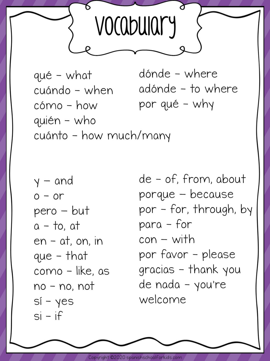

dónde - where qué - what adónde - to where cuándo - when por qué - why cómo - how quién - who cuánto - how much/many

 $y - and$  $0 - or$ pero – but  $a - to$ , at  $en - at$ , on, in que - that como - like, as no - no, not  $Si - yes$  $si - if$ 

de - of, from, about porque - because por - for, through, by para - for  $con - with$ por favor – please gracias - thank you de nada - you're welcome